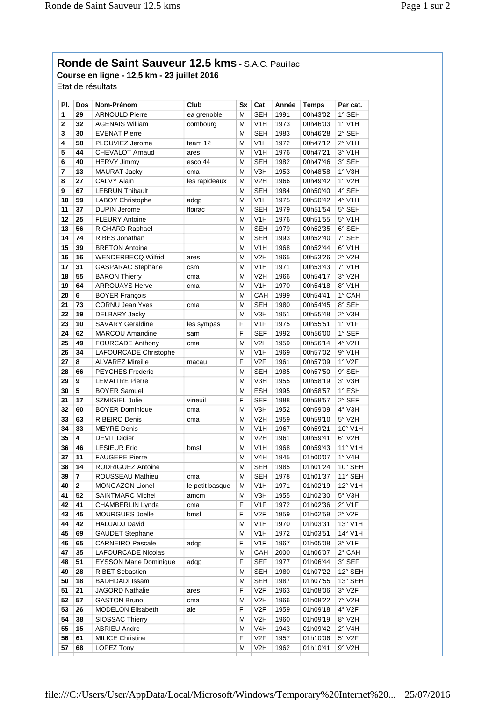## **Ronde de Saint Sauveur 12.5 kms** - S.A.C. Pauillac

**Course en ligne - 12,5 km - 23 juillet 2016** Etat de résultats

**Pl. Dos Nom-Prénom Club Sx Cat Année Temps Par cat. 1 29** ARNOULD Pierre ea grenoble M SEH 1991 00h43'02 1° SEH **2 32** AGENAIS William combourg M V1H 1973 00h46'03 1° V1H **3 30** EVENAT Pierre M SEH 1983 00h46'28 2° SEH **4 58** PLOUVIEZ Jerome team 12 M V1H 1972 00h47'12 2° V1H **5 44** CHEVALOT Arnaud ares M V1H 1976 00h47'21 3° V1H **6 40** HERVY Jimmy esco 44 M SEH 1982 00h47'46 3° SEH **7 13** MAURAT Jacky cma M V3H 1953 00h48'58 1° V3H **8 27 CALVY Alain les rapideaux M V2H 1966 00h49'42 1° V2H 9 67 LEBRUN Thibault M SEH 1984 00h50'40 4° SEH 10 59** LABOY Christophe adqp M V1H 1975 00h50'42 4° V1H **11 37** DUPIN Jerome floirac M SEH 1979 00h51'54 5° SEH **12 25** FLEURY Antoine M M V1H 1976 00h51'55 5° V1H **13 56** RICHARD Raphael M SEH 1979 00h52'35 6° SEH **14 74 RIBES Jonathan M SEH 1993 00h52'40 7° SEH 15 39 BRETON Antoine M M V1H 1968 00h52'44 6° V1H 16 | WENDERBECQ Wilfrid | ares | M | V2H | 1965 | 00h53'26 | 2° V2H 17 31** GASPARAC Stephane csm M V1H 1971 00h53'43 7° V1H **18 55** BARON Thierry cma M V2H 1966 00h54'17 3° V2H **19 64** ARROUAYS Herve cma M V1H 1970 00h54'18 8° V1H **20 6** BOYER François M CAH 1999 00h54'41 1° CAH **21 73** CORNU Jean Yves cma M SEH 1980 00h54'45 8° SEH **22 19** DELBARY Jacky M V3H 1951 00h55'48 2° V3H **23 10** SAVARY Geraldine les sympas F V1F 1975 00h55'51 1° V1F **24 62** MARCOU Amandine sam F SEF 1992 00h56'00 1° SEF **25 49** FOURCADE Anthony cma M V2H 1959 00h56'14 4° V2H **26 34 LAFOURCADE Christophe M M V1H 1969 00h57'02 9° V1H 27 8** ALVAREZ Mireille macau F V2F 1961 00h57'09 1° V2F **28 66 PEYCHES Frederic M SEH 1985 00h57'50 9° SEH 29 9 LEMAITRE Pierre M V3H 1955 00h58'19 3° V3H 30 5** BOYER Samuel M ESH 1995 00h58'57 1° ESH **31 17** SZMIGIEL Julie vineuil F SEF 1988 00h58'57 2° SEF **32 60** BOYER Dominique cma M V3H 1952 00h59'09 4° V3H **33 63** RIBEIRO Denis cma M V2H 1959 00h59'10 5° V2H **34 33 MEYRE Denis Manual M W1H 1967 00h59'21 10° V1H 35 4** DEVIT Didier M M V2H 1961 00h59'41 6° V2H **36 46** LESIEUR Eric bmsl M V1H 1968 00h59'43 11° V1H **37 11 FAUGERE Pierre M M V4H 1945 01h00'07 1° V4H 38 14 RODRIGUEZ Antoine M SEH 1985 01h01'24 10° SEH 39 7 ROUSSEAU Mathieu cma M SEH 1978 01h01'37 11° SEH 40 2** MONGAZON Lionel le petit basque M V1H 1971 01h02'19 12° V1H **41 52** SAINTMARC Michel amcm M V3H 1955 01h02'30 5° V3H **42 41** CHAMBERLIN Lynda cma F V1F 1972 01h02'36 2° V1F **43 45** MOURGUES Joelle bmsl F V2F 1959 01h02'59 2° V2F **44 42** HADJADJ David M V1H 1970 01h03'31 13° V1H **45 69** GAUDET Stephane M V1H 1972 01h03'51 14° V1H **46 65** CARNEIRO Pascale adqp F V1F 1967 01h05'08 3° V1F **47 35** LAFOURCADE Nicolas M CAH 2000 01h06'07 2° CAH **48 51 EYSSON Marie Dominique adqp** F SEF 1977 01h06'44 3° SEF **49 28 RIBET Sebastien M SEH 1980 01h07'22 12° SEH 50 18 BADHDADI Issam M SEH 1987 01h07'55 13° SEH 51 21** JAGORD Nathalie ares F V2F 1963 01h08'06 3° V2F **52 57** GASTON Bruno cma M V2H 1966 01h08'22 7° V2H **53 26** MODELON Elisabeth ale F V2F 1959 01h09'18 4° V2F **54 38 SIOSSAC Thierry M W V2H 1960 01h09'19 8° V2H 55 15** ABRIEU Andre M V4H 1943 01h09'42 2° V4H **56 61** MILICE Christine **F** V2F 1957 01h10'06 5° V2F **57 68 LOPEZ Tony M V2H 1962 01h10'41 9° V2H**